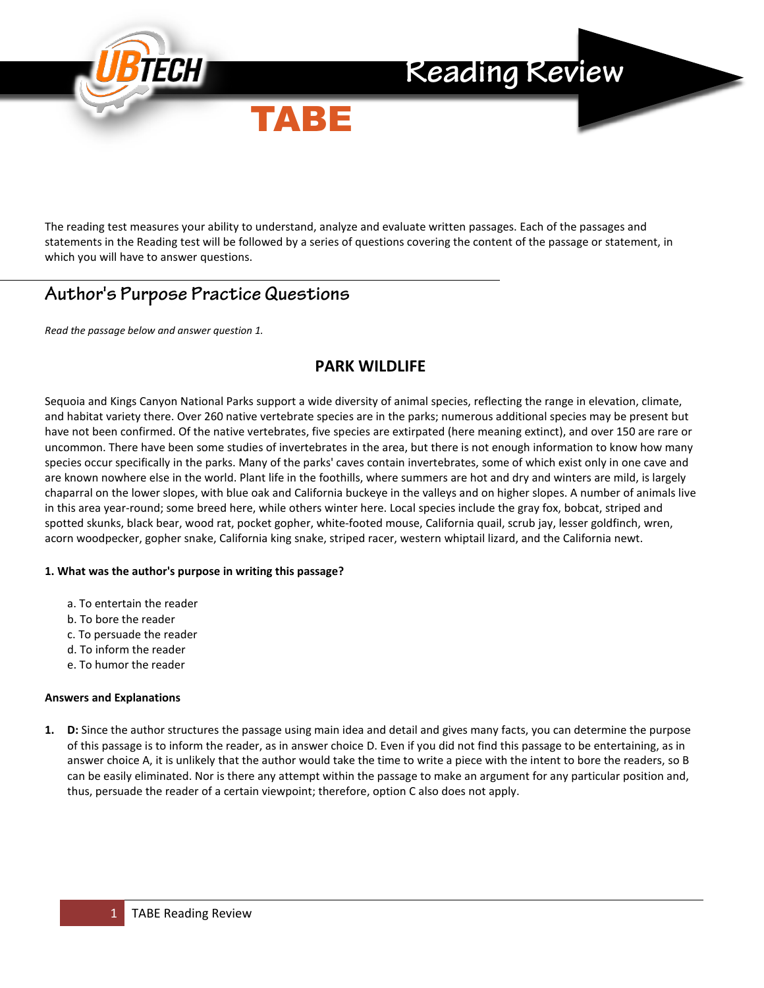

The reading test measures your ability to understand, analyze and evaluate written passages. Each of the passages and statements in the Reading test will be followed by a series of questions covering the content of the passage or statement, in which you will have to answer questions.

## **Author's Purpose Practice Questions**

*Read the passage below and answer question 1.*

### **PARK WILDLIFE**

Sequoia and Kings Canyon National Parks support a wide diversity of animal species, reflecting the range in elevation, climate, and habitat variety there. Over 260 native vertebrate species are in the parks; numerous additional species may be present but have not been confirmed. Of the native vertebrates, five species are extirpated (here meaning extinct), and over 150 are rare or uncommon. There have been some studies of invertebrates in the area, but there is not enough information to know how many species occur specifically in the parks. Many of the parks' caves contain invertebrates, some of which exist only in one cave and are known nowhere else in the world. Plant life in the foothills, where summers are hot and dry and winters are mild, is largely chaparral on the lower slopes, with blue oak and California buckeye in the valleys and on higher slopes. A number of animals live in this area year-round; some breed here, while others winter here. Local species include the gray fox, bobcat, striped and spotted skunks, black bear, wood rat, pocket gopher, white-footed mouse, California quail, scrub jay, lesser goldfinch, wren, acorn woodpecker, gopher snake, California king snake, striped racer, western whiptail lizard, and the California newt.

### **1. What was the author's purpose in writing this passage?**

- a. To entertain the reader
- b. To bore the reader
- c. To persuade the reader
- d. To inform the reader
- e. To humor the reader

### **Answers and Explanations**

**1. D:** Since the author structures the passage using main idea and detail and gives many facts, you can determine the purpose of this passage is to inform the reader, as in answer choice D. Even if you did not find this passage to be entertaining, as in answer choice A, it is unlikely that the author would take the time to write a piece with the intent to bore the readers, so B can be easily eliminated. Nor is there any attempt within the passage to make an argument for any particular position and, thus, persuade the reader of a certain viewpoint; therefore, option C also does not apply.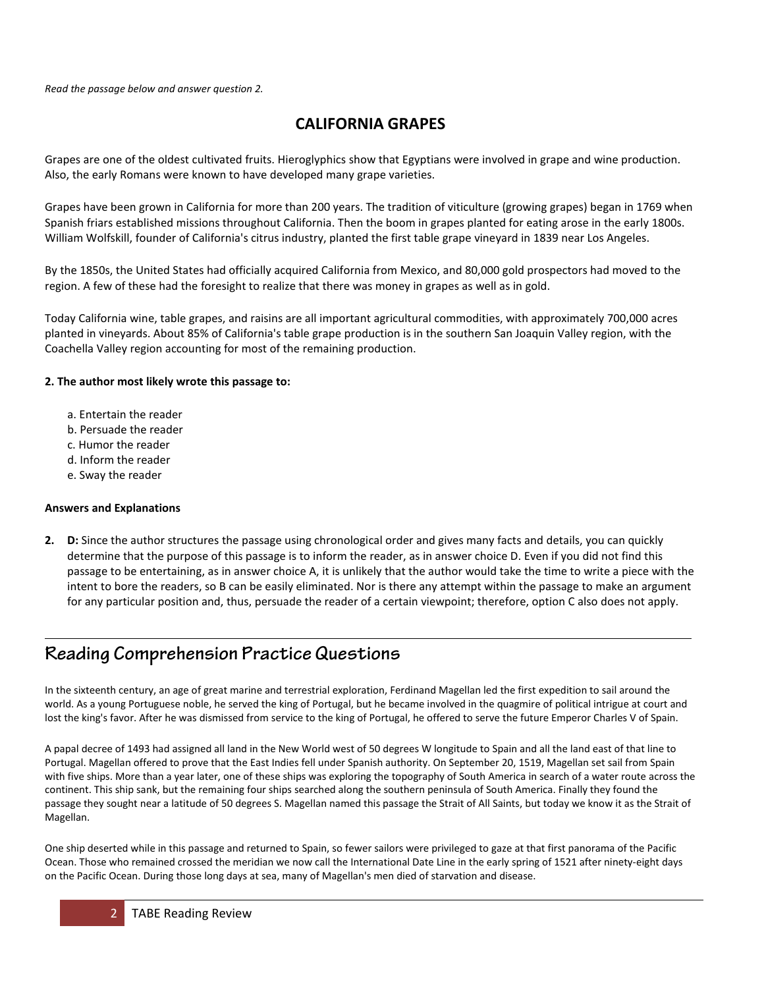## **CALIFORNIA GRAPES**

Grapes are one of the oldest cultivated fruits. Hieroglyphics show that Egyptians were involved in grape and wine production. Also, the early Romans were known to have developed many grape varieties.

Grapes have been grown in California for more than 200 years. The tradition of viticulture (growing grapes) began in 1769 when Spanish friars established missions throughout California. Then the boom in grapes planted for eating arose in the early 1800s. William Wolfskill, founder of California's citrus industry, planted the first table grape vineyard in 1839 near Los Angeles.

By the 1850s, the United States had officially acquired California from Mexico, and 80,000 gold prospectors had moved to the region. A few of these had the foresight to realize that there was money in grapes as well as in gold.

Today California wine, table grapes, and raisins are all important agricultural commodities, with approximately 700,000 acres planted in vineyards. About 85% of California's table grape production is in the southern San Joaquin Valley region, with the Coachella Valley region accounting for most of the remaining production.

### **2. The author most likely wrote this passage to:**

- a. Entertain the reader
- b. Persuade the reader
- c. Humor the reader
- d. Inform the reader
- e. Sway the reader

### **Answers and Explanations**

**2. D:** Since the author structures the passage using chronological order and gives many facts and details, you can quickly determine that the purpose of this passage is to inform the reader, as in answer choice D. Even if you did not find this passage to be entertaining, as in answer choice A, it is unlikely that the author would take the time to write a piece with the intent to bore the readers, so B can be easily eliminated. Nor is there any attempt within the passage to make an argument for any particular position and, thus, persuade the reader of a certain viewpoint; therefore, option C also does not apply.

# **Reading Comprehension Practice Questions**

In the sixteenth century, an age of great marine and terrestrial exploration, Ferdinand Magellan led the first expedition to sail around the world. As a young Portuguese noble, he served the king of Portugal, but he became involved in the quagmire of political intrigue at court and lost the king's favor. After he was dismissed from service to the king of Portugal, he offered to serve the future Emperor Charles V of Spain.

A papal decree of 1493 had assigned all land in the New World west of 50 degrees W longitude to Spain and all the land east of that line to Portugal. Magellan offered to prove that the East Indies fell under Spanish authority. On September 20, 1519, Magellan set sail from Spain with five ships. More than a year later, one of these ships was exploring the topography of South America in search of a water route across the continent. This ship sank, but the remaining four ships searched along the southern peninsula of South America. Finally they found the passage they sought near a latitude of 50 degrees S. Magellan named this passage the Strait of All Saints, but today we know it as the Strait of Magellan.

One ship deserted while in this passage and returned to Spain, so fewer sailors were privileged to gaze at that first panorama of the Pacific Ocean. Those who remained crossed the meridian we now call the International Date Line in the early spring of 1521 after ninety-eight days on the Pacific Ocean. During those long days at sea, many of Magellan's men died of starvation and disease.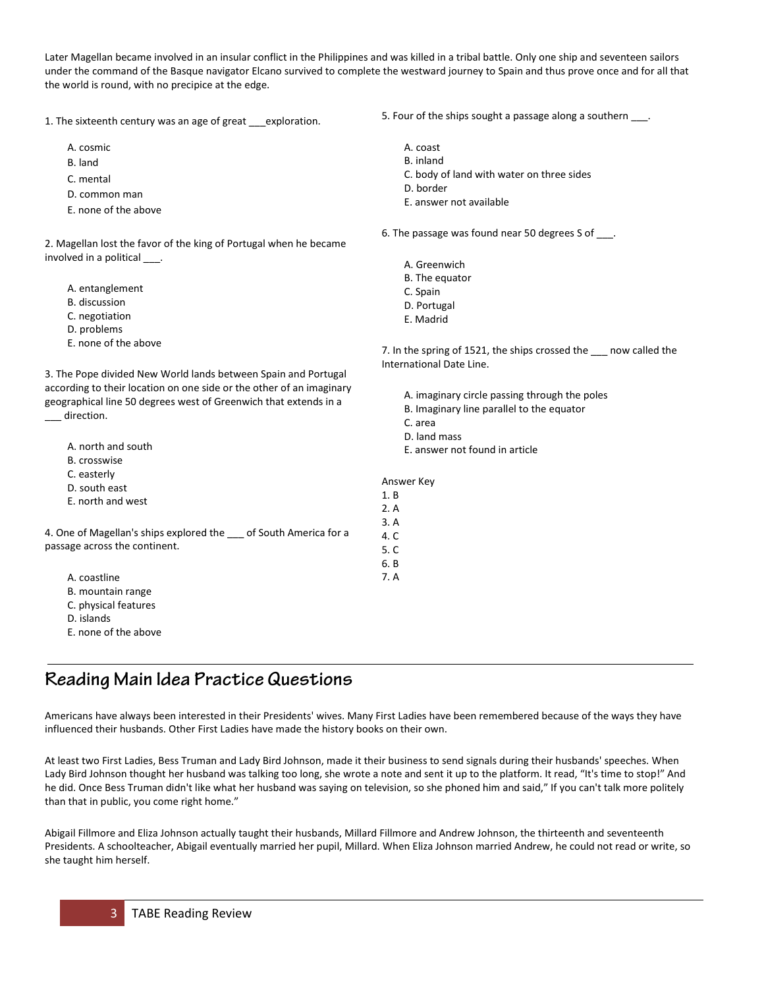Later Magellan became involved in an insular conflict in the Philippines and was killed in a tribal battle. Only one ship and seventeen sailors under the command of the Basque navigator Elcano survived to complete the westward journey to Spain and thus prove once and for all that the world is round, with no precipice at the edge.

1. The sixteenth century was an age of great exploration.

- A. cosmic
- B. land
- C. mental
- D. common man
- E. none of the above

2. Magellan lost the favor of the king of Portugal when he became involved in a political \_\_\_\_.

- A. entanglement
- B. discussion
- C. negotiation
- D. problems
- E. none of the above

3. The Pope divided New World lands between Spain and Portugal according to their location on one side or the other of an imaginary geographical line 50 degrees west of Greenwich that extends in a direction.

|                                                                 | υ.    |
|-----------------------------------------------------------------|-------|
| A. north and south                                              | Е.    |
| B. crosswise                                                    |       |
| C. easterly                                                     | Answe |
| D. south east                                                   |       |
| E. north and west                                               | 1. B  |
|                                                                 | 2. A  |
|                                                                 | 3.A   |
| 4. One of Magellan's ships explored the cof South America for a | 4. C  |
| passage across the continent.                                   | 5.C   |
|                                                                 | 6. B  |
| A. coastline                                                    | 7. A  |
| B. mountain range                                               |       |
| C. physical features                                            |       |
|                                                                 |       |

- D. islands
- E. none of the above

# **Reading Main Idea Practice Questions**

Americans have always been interested in their Presidents' wives. Many First Ladies have been remembered because of the ways they have influenced their husbands. Other First Ladies have made the history books on their own.

At least two First Ladies, Bess Truman and Lady Bird Johnson, made it their business to send signals during their husbands' speeches. When Lady Bird Johnson thought her husband was talking too long, she wrote a note and sent it up to the platform. It read, "It's time to stop!" And he did. Once Bess Truman didn't like what her husband was saying on television, so she phoned him and said," If you can't talk more politely than that in public, you come right home."

Abigail Fillmore and Eliza Johnson actually taught their husbands, Millard Fillmore and Andrew Johnson, the thirteenth and seventeenth Presidents. A schoolteacher, Abigail eventually married her pupil, Millard. When Eliza Johnson married Andrew, he could not read or write, so she taught him herself.

5. Four of the ships sought a passage along a southern  $\_\_\_$ .

- A. coast
- B. inland
- C. body of land with water on three sides
- D. border
- E. answer not available
- 6. The passage was found near 50 degrees S of \_\_\_\_.
	- A. Greenwich
	- B. The equator
	- C. Spain
	- D. Portugal
	- E. Madrid

7. In the spring of 1521, the ships crossed the now called the International Date Line.

A. imaginary circle passing through the poles B. Imaginary line parallel to the equator C. area land mass answer not found in article

r Key